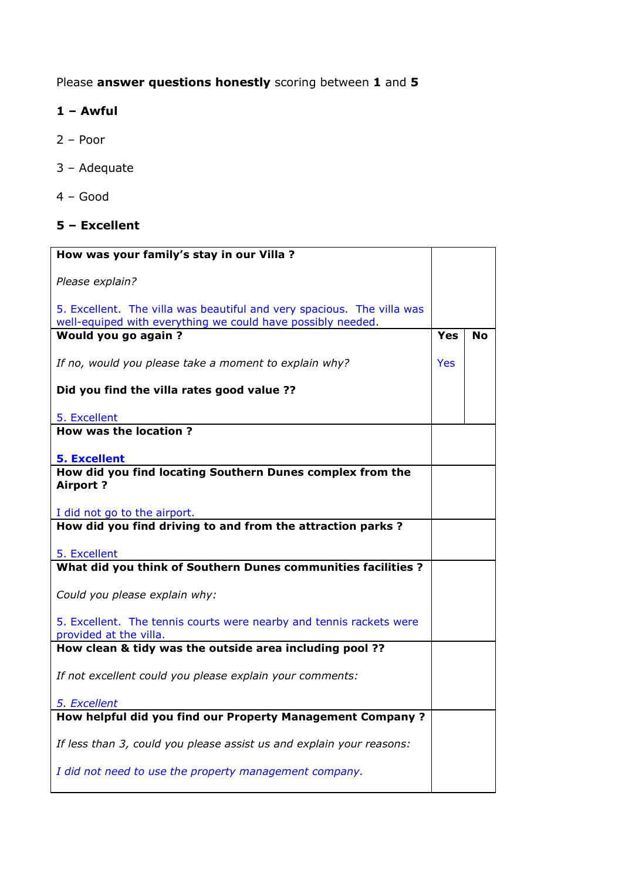## Please answer questions honestly scoring between 1 and 5

## 1 – Awful

- 2 Poor
- 3 Adequate
- 4 Good

## 5 – Excellent

| How was your family's stay in our Villa ?                              |            |           |
|------------------------------------------------------------------------|------------|-----------|
| Please explain?                                                        |            |           |
|                                                                        |            |           |
| 5. Excellent. The villa was beautiful and very spacious. The villa was |            |           |
| well-equiped with everything we could have possibly needed.            |            |           |
| Would you go again?                                                    | <b>Yes</b> | <b>No</b> |
| If no, would you please take a moment to explain why?                  | <b>Yes</b> |           |
| Did you find the villa rates good value ??                             |            |           |
| 5. Excellent                                                           |            |           |
| <b>How was the location?</b>                                           |            |           |
|                                                                        |            |           |
| <b>5. Excellent</b>                                                    |            |           |
| How did you find locating Southern Dunes complex from the              |            |           |
| <b>Airport?</b>                                                        |            |           |
| I did not go to the airport.                                           |            |           |
| How did you find driving to and from the attraction parks?             |            |           |
|                                                                        |            |           |
| 5. Excellent                                                           |            |           |
| What did you think of Southern Dunes communities facilities ?          |            |           |
|                                                                        |            |           |
| Could you please explain why:                                          |            |           |
| 5. Excellent. The tennis courts were nearby and tennis rackets were    |            |           |
| provided at the villa.                                                 |            |           |
| How clean & tidy was the outside area including pool ??                |            |           |
| If not excellent could you please explain your comments:               |            |           |
|                                                                        |            |           |
| 5. Excellent                                                           |            |           |
| How helpful did you find our Property Management Company?              |            |           |
| If less than 3, could you please assist us and explain your reasons:   |            |           |
|                                                                        |            |           |
| I did not need to use the property management company.                 |            |           |
|                                                                        |            |           |